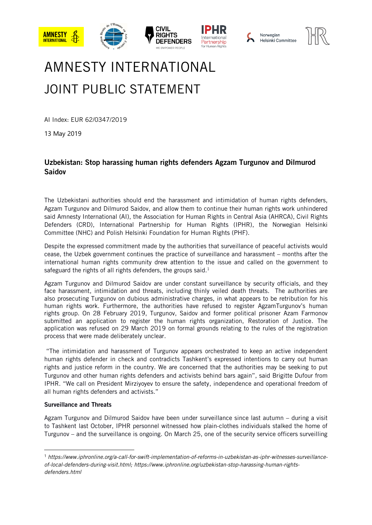





## AMNESTY INTERNATIONAL JOINT PUBLIC STATEMENT

AI Index: EUR 62/0347/2019

13 May 2019

## Uzbekistan: Stop harassing human rights defenders Agzam Turgunov and Dilmurod Saidov

The Uzbekistani authorities should end the harassment and intimidation of human rights defenders, Agzam Turgunov and Dilmurod Saidov, and allow them to continue their human rights work unhindered said Amnesty International (AI), the Association for Human Rights in Central Asia (AHRCA), Civil Rights Defenders (CRD), International Partnership for Human Rights (IPHR), the Norwegian Helsinki Committee (NHC) and Polish Helsinki Foundation for Human Rights (PHF).

Despite the expressed commitment made by the authorities that surveillance of peaceful activists would cease, the Uzbek government continues the practice of surveillance and harassment – months after the international human rights community drew attention to the issue and called on the government to safeguard the rights of all rights defenders, the groups said. $1$ 

Agzam Turgunov and Dilmurod Saidov are under constant surveillance by security officials, and they face harassment, intimidation and threats, including thinly veiled death threats. The authorities are also prosecuting Turgunov on dubious administrative charges, in what appears to be retribution for his human rights work. Furthermore, the authorities have refused to register AgzamTurgunov's human rights group. On 28 February 2019, Turgunov, Saidov and former political prisoner Azam Farmonov submitted an application to register the human rights organization, Restoration of Justice. The application was refused on 29 March 2019 on formal grounds relating to the rules of the registration process that were made deliberately unclear.

"The intimidation and harassment of Turgunov appears orchestrated to keep an active independent human rights defender in check and contradicts Tashkent's expressed intentions to carry out human rights and justice reform in the country. We are concerned that the authorities may be seeking to put Turgunov and other human rights defenders and activists behind bars again", said Brigitte Dufour from IPHR. "We call on President Mirziyoyev to ensure the safety, independence and operational freedom of all human rights defenders and activists."

## Surveillance and Threats

1

Agzam Turgunov and Dilmurod Saidov have been under surveillance since last autumn – during a visit to Tashkent last October, IPHR personnel witnessed how plain-clothes individuals stalked the home of Turgunov – and the surveillance is ongoing. On March 25, one of the security service officers surveilling

<sup>1</sup> *[https://www.iphronline.org/a-call-for-swift-implementation-of-reforms-in-uzbekistan-as-iphr-witnesses-surveillance](https://www.iphronline.org/a-call-for-swift-implementation-of-reforms-in-uzbekistan-as-iphr-witnesses-surveillance-of-local-defenders-during-visit.html)[of-local-defenders-during-visit.html;](https://www.iphronline.org/a-call-for-swift-implementation-of-reforms-in-uzbekistan-as-iphr-witnesses-surveillance-of-local-defenders-during-visit.html) [https://www.iphronline.org/uzbekistan-stop-harassing-human-rights](https://www.iphronline.org/uzbekistan-stop-harassing-human-rights-defenders.html)[defenders.html](https://www.iphronline.org/uzbekistan-stop-harassing-human-rights-defenders.html)*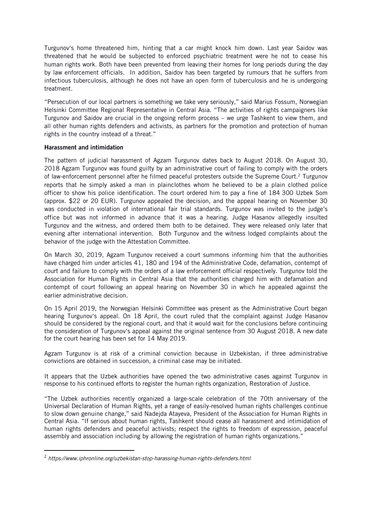Turgunov's home threatened him, hinting that a car might knock him down. Last year Saidov was threatened that he would be subjected to enforced psychiatric treatment were he not to cease his human rights work. Both have been prevented from leaving their homes for long periods during the day by law enforcement officials. In addition, Saidov has been targeted by rumours that he suffers from infectious tuberculosis, although he does not have an open form of tuberculosis and he is undergoing treatment.

"Persecution of our local partners is something we take very seriously," said Marius Fossum, Norwegian Helsinki Committee Regional Representative in Central Asia. "The activities of rights campaigners like Turgunov and Saidov are crucial in the ongoing reform process – we urge Tashkent to view them, and all other human rights defenders and activists, as partners for the promotion and protection of human rights in the country instead of a threat."

## Harassment and intimidation

.

The pattern of judicial harassment of Agzam Turgunov dates back to August 2018. On August 30, 2018 Agzam Turgunov was found guilty by an administrative court of failing to comply with the orders of law-enforcement personnel after he filmed peaceful protesters outside the Supreme Court. <sup>2</sup> Turgunov reports that he simply asked a man in plainclothes whom he believed to be a plain clothed police officer to show his police identification. The court ordered him to pay a fine of 184 300 Uzbek Som (approx. \$22 or 20 EUR). Turgunov appealed the decision, and the appeal hearing on November 30 was conducted in violation of international fair trial standards. Turgunov was invited to the judge's office but was not informed in advance that it was a hearing. Judge Hasanov allegedly insulted Turgunov and the witness, and ordered them both to be detained. They were released only later that evening after international intervention. Both Turgunov and the witness lodged complaints about the behavior of the judge with the Attestation Committee.

On March 30, 2019, Agzam Turgunov received a court summons informing him that the authorities have charged him under articles 41, 180 and 194 of the Administrative Code, defamation, contempt of court and failure to comply with the orders of a law enforcement official respectively. Turgunov told the Association for Human Rights in Central Asia that the authorities charged him with defamation and contempt of court following an appeal hearing on November 30 in which he appealed against the earlier administrative decision.

On 15 April 2019, the Norwegian Helsinki Committee was present as the Administrative Court began hearing Turgunov's appeal. On 18 April, the court ruled that the complaint against Judge Hasanov should be considered by the regional court, and that it would wait for the conclusions before continuing the consideration of Turgunov's appeal against the original sentence from 30 August 2018. A new date for the court hearing has been set for 14 May 2019.

Agzam Turgunov is at risk of a criminal conviction because in Uzbekistan, if three administrative convictions are obtained in succession, a criminal case may be initiated.

It appears that the Uzbek authorities have opened the two administrative cases against Turgunov in response to his continued efforts to register the human rights organization, Restoration of Justice.

"The Uzbek authorities recently organized a large-scale celebration of the 70th anniversary of the Universal Declaration of Human Rights, yet a range of easily-resolved human rights challenges continue to slow down genuine change," said Nadejda Atayeva, President of the Association for Human Rights in Central Asia. "If serious about human rights, Tashkent should cease all harassment and intimidation of human rights defenders and peaceful activists; respect the rights to freedom of expression, peaceful assembly and association including by allowing the registration of human rights organizations."

<sup>2</sup> *<https://www.iphronline.org/uzbekistan-stop-harassing-human-rights-defenders.html>*